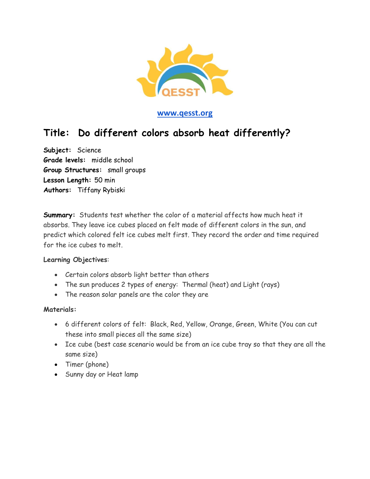

#### **[www.qesst.org](http://www.qesst.org/)**

## **Title: Do different colors absorb heat differently?**

**Subject:** Science **Grade levels:** middle school **Group Structures:** small groups **Lesson Length:** 50 min **Authors:** Tiffany Rybiski

**Summary:** Students test whether the color of a material affects how much heat it absorbs. They leave ice cubes placed on felt made of different colors in the sun, and predict which colored felt ice cubes melt first. They record the order and time required for the ice cubes to melt.

#### **Learning Objectives**:

- Certain colors absorb light better than others
- The sun produces 2 types of energy: Thermal (heat) and Light (rays)
- The reason solar panels are the color they are

#### **Materials:**

- 6 different colors of felt: Black, Red, Yellow, Orange, Green, White (You can cut these into small pieces all the same size)
- Ice cube (best case scenario would be from an ice cube tray so that they are all the same size)
- Timer (phone)
- Sunny day or Heat lamp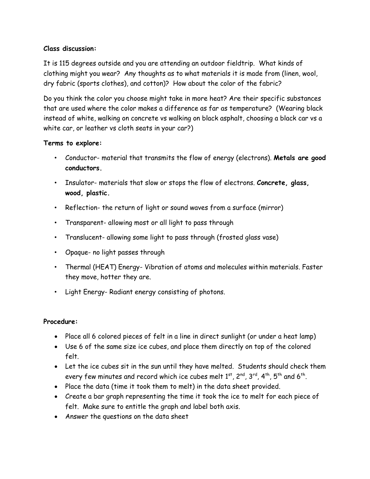#### **Class discussion:**

It is 115 degrees outside and you are attending an outdoor fieldtrip. What kinds of clothing might you wear? Any thoughts as to what materials it is made from (linen, wool, dry fabric (sports clothes), and cotton)? How about the color of the fabric?

Do you think the color you choose might take in more heat? Are their specific substances that are used where the color makes a difference as far as temperature? (Wearing black instead of white, walking on concrete vs walking on black asphalt, choosing a black car vs a white car, or leather vs cloth seats in your car?)

#### **Terms to explore:**

- Conductor- material that transmits the flow of energy (electrons). **Metals are good conductors.**
- Insulator- materials that slow or stops the flow of electrons. **Concrete, glass, wood, plastic.**
- Reflection- the return of light or sound waves from a surface (mirror)
- Transparent- allowing most or all light to pass through
- Translucent- allowing some light to pass through (frosted glass vase)
- Opaque- no light passes through
- Thermal (HEAT) Energy- Vibration of atoms and molecules within materials. Faster they move, hotter they are.
- Light Energy- Radiant energy consisting of photons.

#### **Procedure:**

- Place all 6 colored pieces of felt in a line in direct sunlight (or under a heat lamp)
- Use 6 of the same size ice cubes, and place them directly on top of the colored felt.
- Let the ice cubes sit in the sun until they have melted. Students should check them every few minutes and record which ice cubes melt  $1^{\mathsf{st}}$ ,  $2^{\mathsf{nd}}$ ,  $3^{\mathsf{rd}},$   $4^{\mathsf{th}},$   $5^{\mathsf{th}}$  and  $6^{\mathsf{th}}.$
- Place the data (time it took them to melt) in the data sheet provided.
- Create a bar graph representing the time it took the ice to melt for each piece of felt. Make sure to entitle the graph and label both axis.
- Answer the questions on the data sheet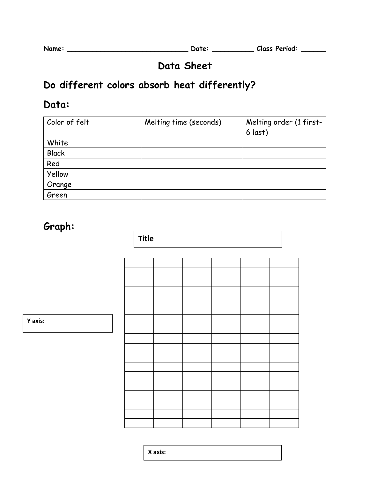**Name: \_\_\_\_\_\_\_\_\_\_\_\_\_\_\_\_\_\_\_\_\_\_\_\_\_\_\_\_\_ Date: \_\_\_\_\_\_\_\_\_\_ Class Period: \_\_\_\_\_\_**

# **Data Sheet**

# **Do different colors absorb heat differently?**

### **Data:**

| Color of felt   | Melting time (seconds) | Melting order (1 first-<br>$6$ last) |
|-----------------|------------------------|--------------------------------------|
| White           |                        |                                      |
| <b>Black</b>    |                        |                                      |
| Red             |                        |                                      |
| Yellow          |                        |                                      |
|                 |                        |                                      |
| Orange<br>Green |                        |                                      |

# **Graph:**

**Title**

**Y axis:**

**X axis:**